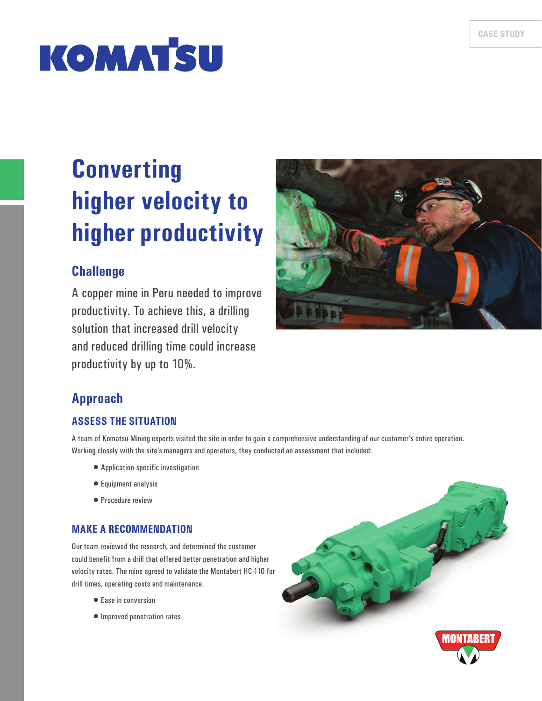# **KOMATSU**

# **Converting higher velocity to higher productivity**

# **Challenge**

A copper mine in Peru needed to improve productivity. To achieve this, a drilling solution that increased drill velocity and reduced drilling time could increase productivity by up to 10%.



# **Approach**

#### **ASSESS THE SITUATION**

A team of Komatsu Mining experts visited the site in order to gain a comprehensive understanding of our customer's entire operation. Working closely with the site's managers and operators, they conducted an assessment that included:

- Application-specific investigation
- Equipment analysis
- Procedure review

### **MAKE A RECOMMENDATION**

Our team reviewed the research, and determined the customer could benefit from a drill that offered better penetration and higher velocity rates. The mine agreed to validate the Montabert HC-110 for drill times, operating costs and maintenance.

- Ease in conversion
- Improved penetration rates